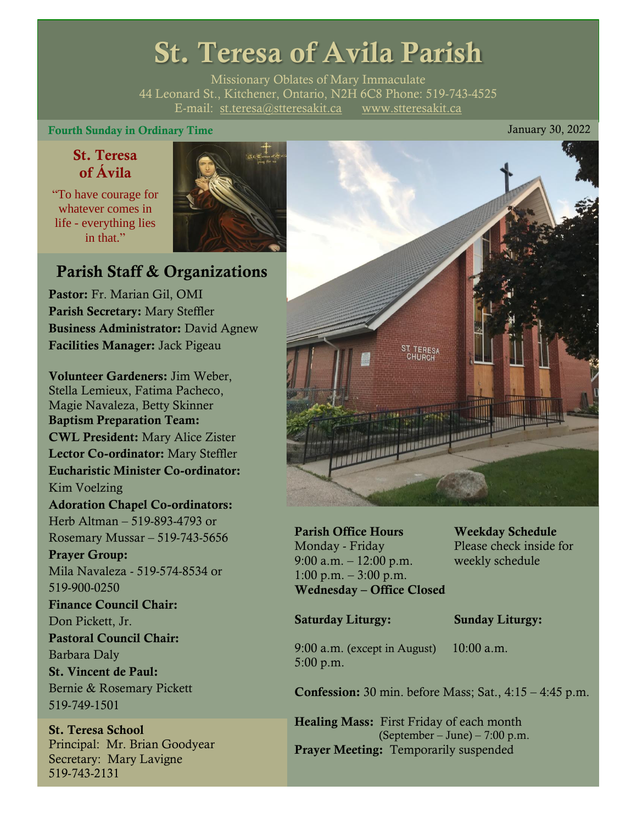# St. Teresa of Avila Parish

Missionary Oblates of Mary Immaculate 44 Leonard St., Kitchener, Ontario, N2H 6C8 Phone: 519-743-4525 E-mail: [st.teresa@stteresakit.ca](mailto:st.teresa@stteresakit.ca) [www.stteresakit.ca](http://www.stteresakit.ca/)

### Fourth Sunday in Ordinary Time  $J$  and  $J$  and  $J$  and  $J$  and  $J$  and  $J$  and  $J$  and  $J$  and  $J$  and  $J$  and  $J$  and  $J$  and  $J$  and  $J$  and  $J$  and  $J$  and  $J$  and  $J$  and  $J$  and  $J$  and  $J$  and  $J$  and  $J$  and  $J$  and

# St. Teresa of Ávila

"To have courage for whatever comes in life - everything lies in that"



# Parish Staff & Organizations

Pastor: Fr. Marian Gil, OMI Parish Secretary: Mary Steffler Business Administrator: David Agnew Facilities Manager: Jack Pigeau

Volunteer Gardeners: Jim Weber, Stella Lemieux, Fatima Pacheco, Magie Navaleza, Betty Skinner Baptism Preparation Team: CWL President: Mary Alice Zister Lector Co-ordinator: Mary Steffler Eucharistic Minister Co-ordinator: Kim Voelzing Adoration Chapel Co-ordinators: Herb Altman – 519-893-4793 or Rosemary Mussar – 519-743-5656 Prayer Group: Mila Navaleza - 519-574-8534 or 519-900-0250 Finance Council Chair: Don Pickett, Jr. Pastoral Council Chair: Barbara Daly St. Vincent de Paul: Bernie & Rosemary Pickett 519-749-1501

St. Teresa School Principal: Mr. Brian Goodyear Secretary: Mary Lavigne 519-743-2131



Parish Office Hours Weekday Schedule Monday - Friday Please check inside for 9:00 a.m. – 12:00 p.m. weekly schedule  $1:00 \text{ p.m.} - 3:00 \text{ p.m.}$ Wednesday – Office Closed

#### Saturday Liturgy: Sunday Liturgy:

9:00 a.m. (except in August) 10:00 a.m. 5:00 p.m.

Confession: 30 min. before Mass; Sat., 4:15 – 4:45 p.m.

Healing Mass: First Friday of each month (September – June) – 7:00 p.m. Prayer Meeting: Temporarily suspended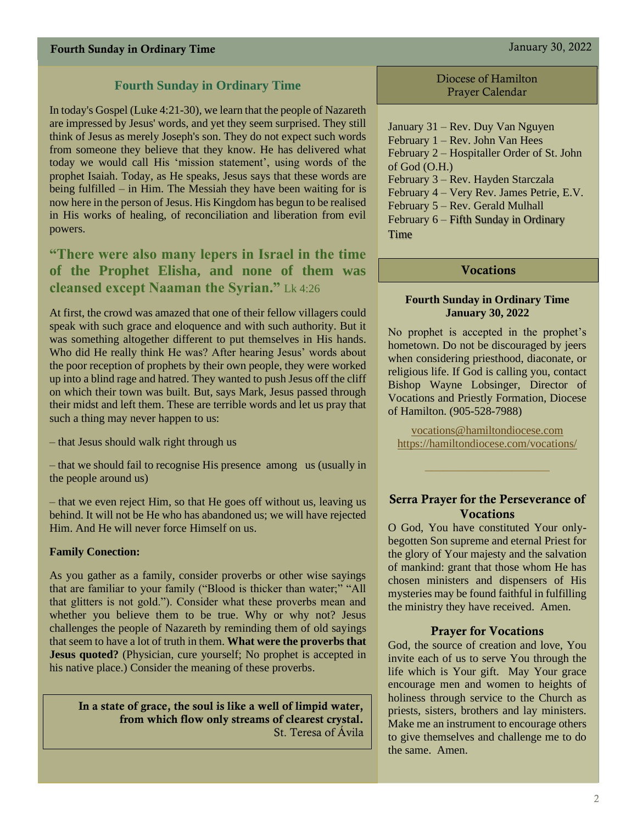In today's Gospel (Luke 4:21-30), we learn that the people of Nazareth are impressed by Jesus' words, and yet they seem surprised. They still think of Jesus as merely Joseph's son. They do not expect such words from someone they believe that they know. He has delivered what today we would call His 'mission statement', using words of the prophet Isaiah. Today, as He speaks, Jesus says that these words are being fulfilled – in Him. The Messiah they have been waiting for is now here in the person of Jesus. His Kingdom has begun to be realised in His works of healing, of reconciliation and liberation from evil powers.

**"There were also many lepers in Israel in the time of the Prophet Elisha, and none of them was cleansed except Naaman the Syrian."** Lk 4:26

At first, the crowd was amazed that one of their fellow villagers could speak with such grace and eloquence and with such authority. But it was something altogether different to put themselves in His hands. Who did He really think He was? After hearing Jesus' words about the poor reception of prophets by their own people, they were worked up into a blind rage and hatred. They wanted to push Jesus off the cliff on which their town was built. But, says Mark, Jesus passed through their midst and left them. These are terrible words and let us pray that such a thing may never happen to us:

– that Jesus should walk right through us

– that we should fail to recognise His presence among us (usually in the people around us)

– that we even reject Him, so that He goes off without us, leaving us behind. It will not be He who has abandoned us; we will have rejected Him. And He will never force Himself on us.

#### **Family Conection:**

As you gather as a family, consider proverbs or other wise sayings that are familiar to your family ("Blood is thicker than water;" "All that glitters is not gold."). Consider what these proverbs mean and whether you believe them to be true. Why or why not? Jesus challenges the people of Nazareth by reminding them of old sayings that seem to have a lot of truth in them. **What were the proverbs that Jesus quoted?** (Physician, cure yourself; No prophet is accepted in his native place.) Consider the meaning of these proverbs.

In a state of grace, the soul is like a well of limpid water, from which flow only streams of clearest crystal. St. Teresa of Ávila

Diocese of Hamilton Prayer Calendar

January 31 – Rev. Duy Van Nguyen February 1 – Rev. John Van Hees February 2 – Hospitaller Order of St. John of God (O.H.) February 3 – Rev. Hayden Starczala February 4 – Very Rev. James Petrie, E.V. February 5 – Rev. Gerald Mulhall February 6 – Fifth Sunday in Ordinary **Time** 

#### Vocations

#### **Fourth Sunday in Ordinary Time January 30, 2022**

No prophet is accepted in the prophet's hometown. Do not be discouraged by jeers when considering priesthood, diaconate, or religious life. If God is calling you, contact Bishop Wayne Lobsinger, Director of Vocations and Priestly Formation, Diocese of Hamilton. (905-528-7988)

[vocations@hamiltondiocese.com](mailto:vocations@hamiltondiocese.com)  <https://hamiltondiocese.com/vocations/>

#### Serra Prayer for the Perseverance of Vocations

O God, You have constituted Your onlybegotten Son supreme and eternal Priest for the glory of Your majesty and the salvation of mankind: grant that those whom He has chosen ministers and dispensers of His mysteries may be found faithful in fulfilling the ministry they have received. Amen.

#### Prayer for Vocations

God, the source of creation and love, You invite each of us to serve You through the life which is Your gift. May Your grace encourage men and women to heights of holiness through service to the Church as priests, sisters, brothers and lay ministers. Make me an instrument to encourage others to give themselves and challenge me to do the same. Amen.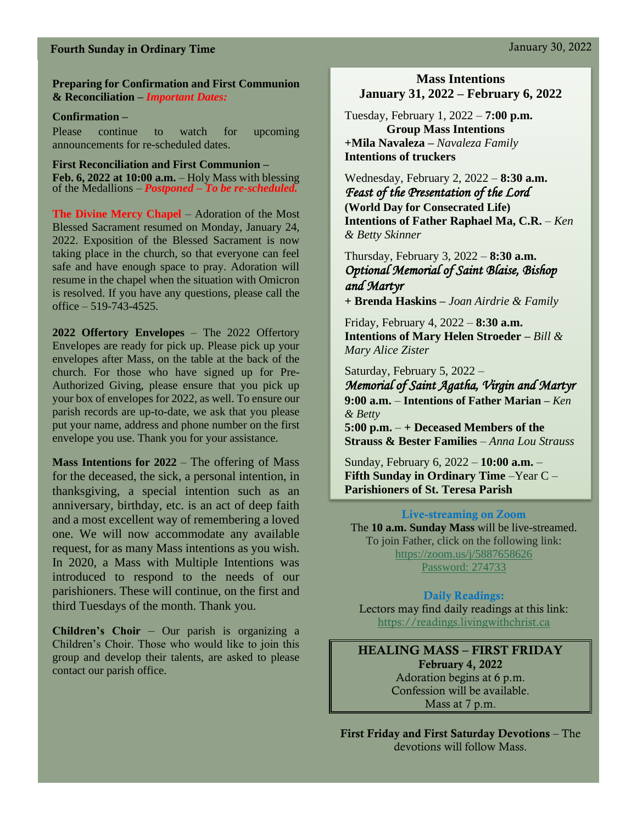# Fourth Sunday in Ordinary Time January 30, 2022

#### **Preparing for Confirmation and First Communion & Reconciliation –** *Important Dates:*

#### **Confirmation –**

Please continue to watch for upcoming announcements for re-scheduled dates.

**First Reconciliation and First Communion – Feb. 6, 2022 at 10:00 a.m.** – Holy Mass with blessing of the Medallions *– Postponed – To be re-scheduled.*

**The Divine Mercy Chapel** – Adoration of the Most Blessed Sacrament resumed on Monday, January 24, 2022. Exposition of the Blessed Sacrament is now taking place in the church, so that everyone can feel safe and have enough space to pray. Adoration will resume in the chapel when the situation with Omicron is resolved. If you have any questions, please call the office  $-519-743-4525$ .

**2022 Offertory Envelopes** – The 2022 Offertory Envelopes are ready for pick up. Please pick up your envelopes after Mass, on the table at the back of the church. For those who have signed up for Pre-Authorized Giving, please ensure that you pick up your box of envelopes for 2022, as well. To ensure our parish records are up-to-date, we ask that you please put your name, address and phone number on the first envelope you use. Thank you for your assistance.

**Mass Intentions for 2022** – The offering of Mass for the deceased, the sick, a personal intention, in thanksgiving, a special intention such as an anniversary, birthday, etc. is an act of deep faith and a most excellent way of remembering a loved one. We will now accommodate any available request, for as many Mass intentions as you wish. In 2020, a Mass with Multiple Intentions was introduced to respond to the needs of our parishioners. These will continue, on the first and third Tuesdays of the month. Thank you.

**Children's Choir** – Our parish is organizing a Children's Choir. Those who would like to join this group and develop their talents, are asked to please contact our parish office.

### **Mass Intentions January 31, 2022 – February 6, 2022**

Tuesday, February 1, 2022 – **7:00 p.m. Group Mass Intentions +Mila Navaleza –** *Navaleza Family* **Intentions of truckers**

Wednesday, February 2, 2022 – **8:30 a.m.**  *Feast of the Presentation of the Lord*  **(World Day for Consecrated Life)** **Intentions of Father Raphael Ma, C.R.** *– Ken & Betty Skinner*

## Thursday, February 3, 2022 – **8:30 a.m.** *Optional Memorial of Saint Blaise, Bishop and Martyr*

**+ Brenda Haskins –** *Joan Airdrie & Family*

Friday, February 4, 2022 – **8:30 a.m.** **Intentions of Mary Helen Stroeder –** *Bill & Mary Alice Zister*

Saturday, February 5, 2022 – *Memorial of Saint Agatha, Virgin and Martyr* **9:00 a.m.** – **Intentions of Father Marian –** *Ken & Betty*  **5:00 p.m.** – **+ Deceased Members of the** 

**Strauss & Bester Families** – *Anna Lou Strauss*

Sunday, February 6, 2022 – **10:00 a.m.** – **Fifth Sunday in Ordinary Time** –Year C – **Parishioners of St. Teresa Parish** 

#### Live-streaming on Zoom

The **10 a.m. Sunday Mass** will be live-streamed. To join Father, click on the following link: <https://zoom.us/j/5887658626> Password: 274733

#### Daily Readings:

Lectors may find daily readings at this link: [https://readings.livingwithchrist.ca](https://readings.livingwithchrist.ca/)

HEALING MASS – FIRST FRIDAY February 4, 2022 Adoration begins at 6 p.m. Confession will be available. Mass at 7 p.m.

First Friday and First Saturday Devotions – The devotions will follow Mass.